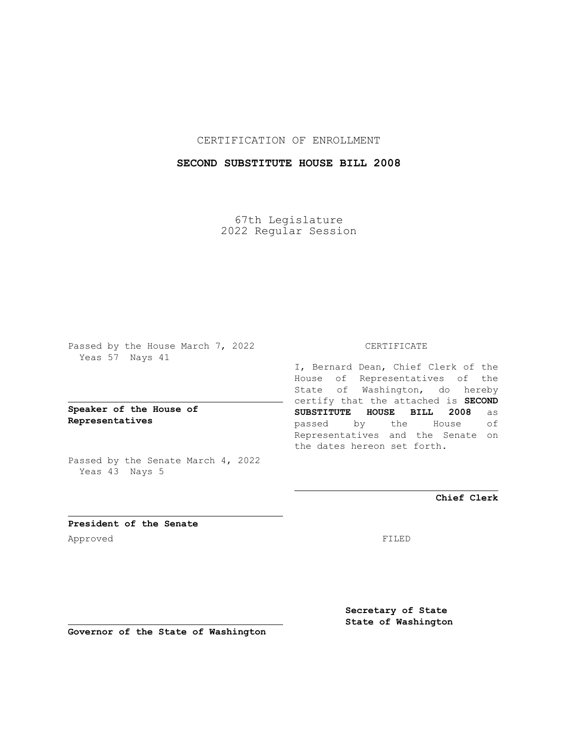### CERTIFICATION OF ENROLLMENT

## **SECOND SUBSTITUTE HOUSE BILL 2008**

67th Legislature 2022 Regular Session

Passed by the House March 7, 2022 Yeas 57 Nays 41

**Speaker of the House of Representatives**

Passed by the Senate March 4, 2022 Yeas 43 Nays 5

#### CERTIFICATE

I, Bernard Dean, Chief Clerk of the House of Representatives of the State of Washington, do hereby certify that the attached is **SECOND SUBSTITUTE HOUSE BILL 2008** as passed by the House of Representatives and the Senate on the dates hereon set forth.

**Chief Clerk**

**President of the Senate** Approved FILED

**Secretary of State State of Washington**

**Governor of the State of Washington**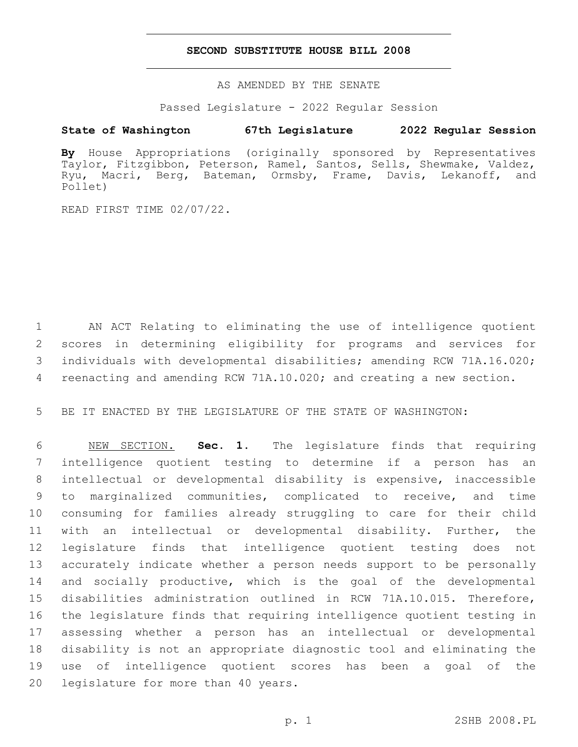#### **SECOND SUBSTITUTE HOUSE BILL 2008**

AS AMENDED BY THE SENATE

Passed Legislature - 2022 Regular Session

# **State of Washington 67th Legislature 2022 Regular Session**

**By** House Appropriations (originally sponsored by Representatives Taylor, Fitzgibbon, Peterson, Ramel, Santos, Sells, Shewmake, Valdez, Ryu, Macri, Berg, Bateman, Ormsby, Frame, Davis, Lekanoff, and Pollet)

READ FIRST TIME 02/07/22.

 AN ACT Relating to eliminating the use of intelligence quotient scores in determining eligibility for programs and services for individuals with developmental disabilities; amending RCW 71A.16.020; 4 reenacting and amending RCW 71A.10.020; and creating a new section.

BE IT ENACTED BY THE LEGISLATURE OF THE STATE OF WASHINGTON:

 NEW SECTION. **Sec. 1.** The legislature finds that requiring intelligence quotient testing to determine if a person has an intellectual or developmental disability is expensive, inaccessible to marginalized communities, complicated to receive, and time consuming for families already struggling to care for their child with an intellectual or developmental disability. Further, the legislature finds that intelligence quotient testing does not accurately indicate whether a person needs support to be personally and socially productive, which is the goal of the developmental disabilities administration outlined in RCW 71A.10.015. Therefore, the legislature finds that requiring intelligence quotient testing in assessing whether a person has an intellectual or developmental disability is not an appropriate diagnostic tool and eliminating the use of intelligence quotient scores has been a goal of the legislature for more than 40 years.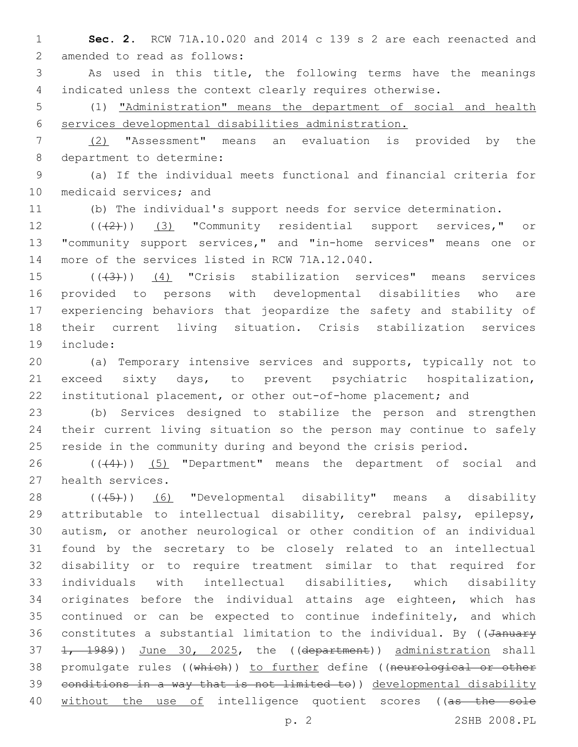**Sec. 2.** RCW 71A.10.020 and 2014 c 139 s 2 are each reenacted and 2 amended to read as follows:

 As used in this title, the following terms have the meanings indicated unless the context clearly requires otherwise.

 (1) "Administration" means the department of social and health services developmental disabilities administration.

 (2) "Assessment" means an evaluation is provided by the 8 department to determine:

 (a) If the individual meets functional and financial criteria for 10 medicaid services; and

(b) The individual's support needs for service determination.

12 (((2)) (3) "Community residential support services," or "community support services," and "in-home services" means one or 14 more of the services listed in RCW 71A.12.040.

 $((43))$  (4) "Crisis stabilization services" means services provided to persons with developmental disabilities who are experiencing behaviors that jeopardize the safety and stability of their current living situation. Crisis stabilization services 19 include:

 (a) Temporary intensive services and supports, typically not to exceed sixty days, to prevent psychiatric hospitalization, institutional placement, or other out-of-home placement; and

 (b) Services designed to stabilize the person and strengthen their current living situation so the person may continue to safely reside in the community during and beyond the crisis period.

26  $((+4))$   $(5)$  "Department" means the department of social and 27 health services.

28 (((5)) (6) "Developmental disability" means a disability attributable to intellectual disability, cerebral palsy, epilepsy, autism, or another neurological or other condition of an individual found by the secretary to be closely related to an intellectual disability or to require treatment similar to that required for individuals with intellectual disabilities, which disability originates before the individual attains age eighteen, which has continued or can be expected to continue indefinitely, and which 36 constitutes a substantial limitation to the individual. By ((January 37 1, 1989)) June 30, 2025, the ((department)) administration shall 38 promulgate rules ((which)) to further define ((neurological or other conditions in a way that is not limited to)) developmental disability 40 without the use of intelligence quotient scores ((as the sole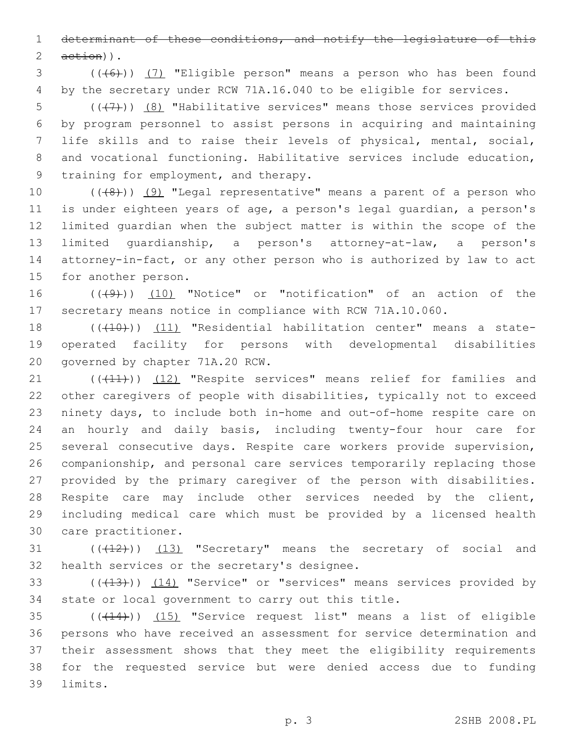determinant of these conditions, and notify the legislature of this  $2 \quad \text{aetion}$ ).

 (((6))) (7) "Eligible person" means a person who has been found by the secretary under RCW 71A.16.040 to be eligible for services.

 $((+7)$ )  $(8)$  "Habilitative services" means those services provided by program personnel to assist persons in acquiring and maintaining life skills and to raise their levels of physical, mental, social, and vocational functioning. Habilitative services include education, 9 training for employment, and therapy.

 $((+8+))$   $(9)$  "Legal representative" means a parent of a person who is under eighteen years of age, a person's legal guardian, a person's limited guardian when the subject matter is within the scope of the limited guardianship, a person's attorney-at-law, a person's attorney-in-fact, or any other person who is authorized by law to act 15 for another person.

16 (((49))) (10) "Notice" or "notification" of an action of the secretary means notice in compliance with RCW 71A.10.060.

18 (((10))) (11) "Residential habilitation center" means a state- operated facility for persons with developmental disabilities 20 governed by chapter 71A.20 RCW.

21 (((41))) (12) "Respite services" means relief for families and other caregivers of people with disabilities, typically not to exceed ninety days, to include both in-home and out-of-home respite care on an hourly and daily basis, including twenty-four hour care for several consecutive days. Respite care workers provide supervision, companionship, and personal care services temporarily replacing those provided by the primary caregiver of the person with disabilities. Respite care may include other services needed by the client, including medical care which must be provided by a licensed health 30 care practitioner.

 $((+12))$   $(13)$  "Secretary" means the secretary of social and 32 health services or the secretary's designee.

33 (((413))) (14) "Service" or "services" means services provided by state or local government to carry out this title.

 (((14))) (15) "Service request list" means a list of eligible persons who have received an assessment for service determination and their assessment shows that they meet the eligibility requirements for the requested service but were denied access due to funding 39 limits.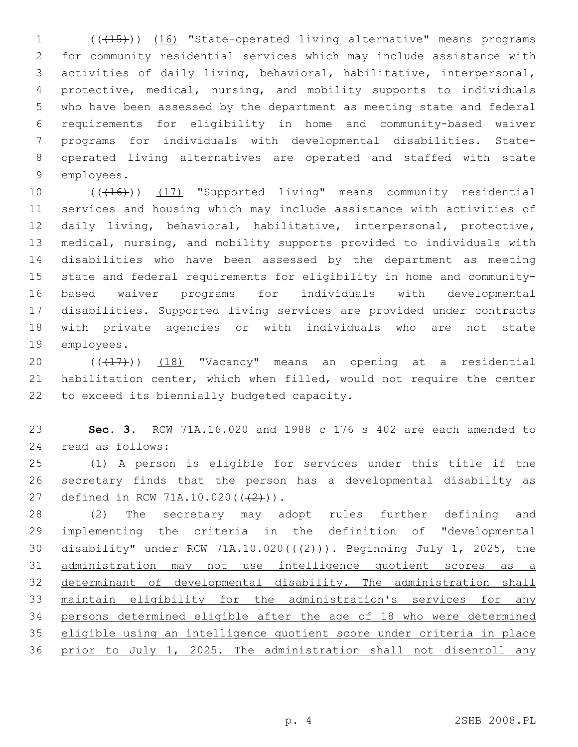1 (( $(15)$ )) (16) "State-operated living alternative" means programs for community residential services which may include assistance with activities of daily living, behavioral, habilitative, interpersonal, protective, medical, nursing, and mobility supports to individuals who have been assessed by the department as meeting state and federal requirements for eligibility in home and community-based waiver programs for individuals with developmental disabilities. State- operated living alternatives are operated and staffed with state 9 employees.

10 (((16)) (17) "Supported living" means community residential services and housing which may include assistance with activities of daily living, behavioral, habilitative, interpersonal, protective, medical, nursing, and mobility supports provided to individuals with disabilities who have been assessed by the department as meeting state and federal requirements for eligibility in home and community- based waiver programs for individuals with developmental disabilities. Supported living services are provided under contracts with private agencies or with individuals who are not state 19 employees.

20  $((+17))$   $(18)$  "Vacancy" means an opening at a residential habilitation center, which when filled, would not require the center 22 to exceed its biennially budgeted capacity.

 **Sec. 3.** RCW 71A.16.020 and 1988 c 176 s 402 are each amended to 24 read as follows:

 (1) A person is eligible for services under this title if the secretary finds that the person has a developmental disability as 27 defined in RCW 71A.10.020(((2))).

 (2) The secretary may adopt rules further defining and implementing the criteria in the definition of "developmental 30 disability" under RCW 71A.10.020(((2))). Beginning July 1, 2025, the administration may not use intelligence quotient scores as a 32 determinant of developmental disability. The administration shall 33 maintain eligibility for the administration's services for any persons determined eligible after the age of 18 who were determined eligible using an intelligence quotient score under criteria in place prior to July 1, 2025. The administration shall not disenroll any